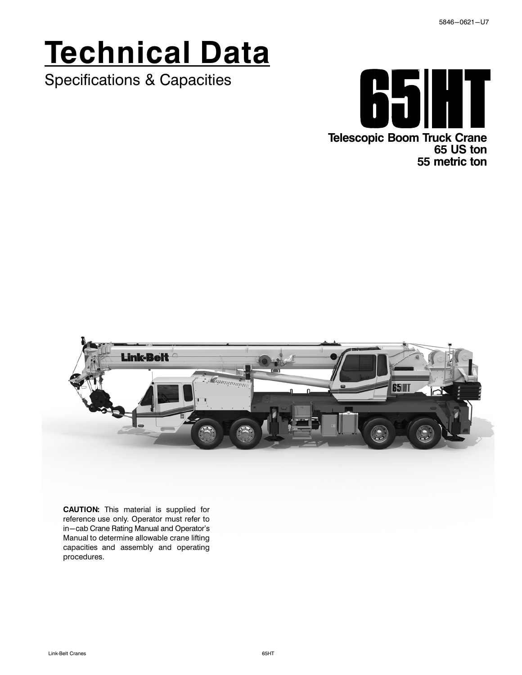# **Technical Data**

Specifications & Capacities



**55 metric ton**



**CAUTION:** This material is supplied for reference use only. Operator must refer to in-cab Crane Rating Manual and Operator's Manual to determine allowable crane lifting capacities and assembly and operating procedures.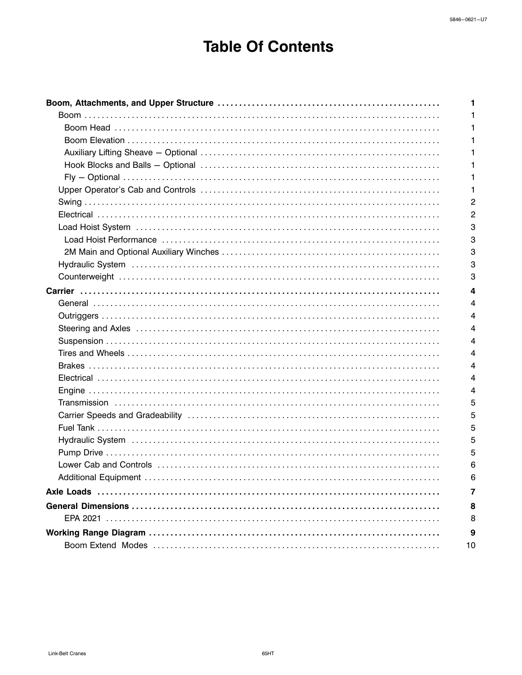## **Table Of Contents**

| 1              |
|----------------|
| 1              |
|                |
|                |
|                |
| 1              |
| 1              |
| 2              |
| $\overline{2}$ |
| 3              |
| 3              |
| 3              |
| 3              |
| 3              |
| 4              |
| 4              |
| 4              |
| 4              |
| 4              |
| 4              |
| 4              |
| 4              |
| 4              |
| 5              |
| 5              |
| 5              |
| 5              |
| 5              |
| 6              |
| 6              |
| 7              |
| 8              |
| 8              |
| 9              |
| 10             |
|                |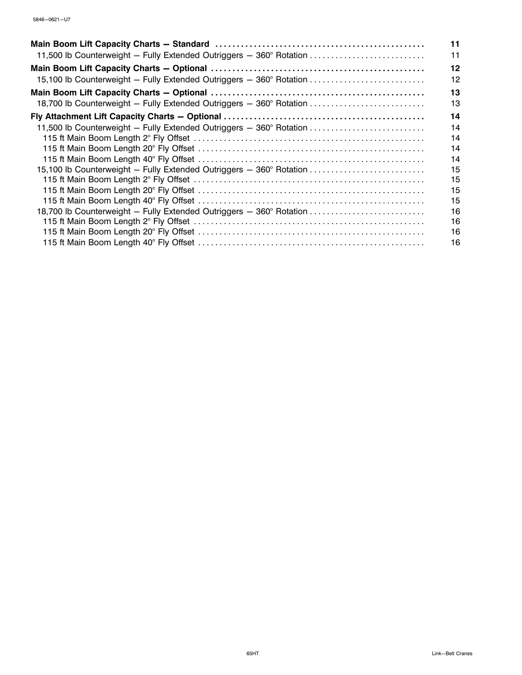|                                                                     | 11 |
|---------------------------------------------------------------------|----|
| 11,500 lb Counterweight - Fully Extended Outriggers - 360° Rotation | 11 |
|                                                                     | 12 |
| 15,100 lb Counterweight - Fully Extended Outriggers - 360° Rotation | 12 |
|                                                                     | 13 |
| 18,700 lb Counterweight - Fully Extended Outriggers - 360° Rotation | 13 |
|                                                                     | 14 |
| 11,500 lb Counterweight - Fully Extended Outriggers - 360° Rotation | 14 |
|                                                                     | 14 |
|                                                                     | 14 |
|                                                                     | 14 |
| 15,100 lb Counterweight - Fully Extended Outriggers - 360° Rotation | 15 |
|                                                                     | 15 |
|                                                                     | 15 |
|                                                                     | 15 |
| 18,700 lb Counterweight - Fully Extended Outriggers - 360° Rotation | 16 |
|                                                                     | 16 |
|                                                                     | 16 |
|                                                                     | 16 |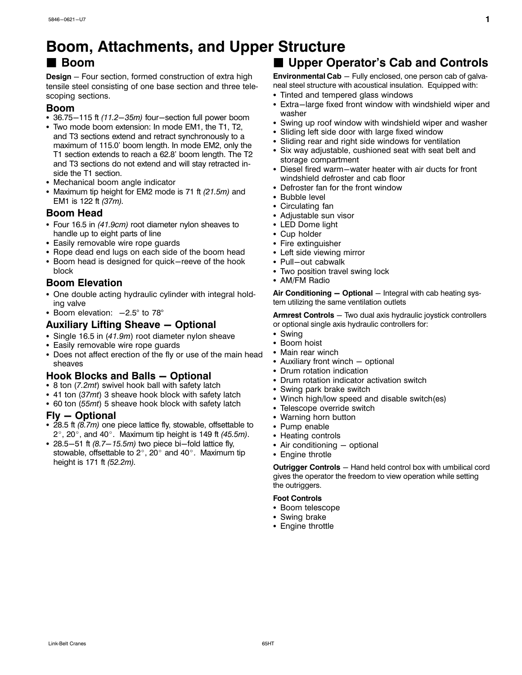## <span id="page-4-0"></span>**Boom, Attachments, and Upper Structure**

### - **Boom**

**Design** - Four section, formed construction of extra high tensile steel consisting of one base section and three telescoping sections.

#### **Boom**

- 36.75-115 ft *(11.2-35m)* four-section full power boom<br>• Two mode boom extension: In mode FM1, the T1, T2
- Two mode boom extension: In mode EM1, the T1, T2, and T3 sections extend and retract synchronously to a maximum of 115.0' boom length. In mode EM2, only the T1 section extends to reach a 62.8' boom length. The T2 and T3 sections do not extend and will stay retracted inside the T1 section.
- Mechanical boom angle indicator
- Maximum tip height for EM2 mode is 71 ft *(21.5m)* and EM1 is 122 ft *(37m).*

### **Boom Head**

- Four 16.5 in *(41.9cm)* root diameter nylon sheaves to handle up to eight parts of line
- Easily removable wire rope guards
- Rope dead end lugs on each side of the boom head
- Boom head is designed for quick-reeve of the hook block

### **Boom Elevation**

- One double acting hydraulic cylinder with integral holding valve
- $\bullet$  Boom elevation:  $-2.5^{\circ}$  to 78°

### **Auxiliary Lifting Sheave - Optional**

- Single 16.5 in (*41.9m*) root diameter nylon sheave
- Easily removable wire rope guards
- Does not affect erection of the fly or use of the main head sheaves

### **Hook Blocks and Balls - Optional**

- 8 ton (7.2*mt*) swivel hook ball with safety latch<br>• 41 ton (37*mt*) 3 sheave book block with safety
- 41 ton (37mt) 3 sheave hook block with safety latch<br>• 60 ton (55mt) 5 sheave hook block with safety latch
- 60 ton (55mt) 5 sheave hook block with safety latch<br>Fl: Cratianal

#### **Fly - Optional**

- 28.5 ft  $(8.7m)$  one piece lattice fly, stowable, offsettable to  $2^\circ$  20° and 40° Maximum tip height is 149 ft  $(45.5m)$ <sup>2</sup>, 20, and 40. Maximum tip height is 149 ft *(45.5m)*.
- $28.5 51$  ft  $(8.7 15.5m)$  two piece bi-fold lattice fly,<br>stowable, offsettable to 2°, 20° and 40°. Maximum stowable, offsettable to  $2^{\circ}$ ,  $20^{\circ}$  and  $40^{\circ}$ . Maximum tip height is 171 ft *(52.2m).*

## $\blacksquare$  **Upper Operator's Cab and Controls**

**Environmental Cab** - Fully enclosed, one person cab of galvaneal steel structure with acoustical insulation. Equipped with:

- Tinted and tempered glass windows
- Extra-large fixed front window with windshield wiper and washer
- Swing up roof window with windshield wiper and washer
- $\bullet$ Sliding left side door with large fixed window
- -Sliding rear and right side windows for ventilation
- - Six way adjustable, cushioned seat with seat belt and storage compartment
- $\bullet$  Diesel fired warm-water heater with air ducts for front windshield defroster and cab floor
- $\bullet$ Defroster fan for the front window
- Bubble level
- Circulating fan
- Adjustable sun visor
- LED Dome light
- Cup holder
- Fire extinguisher
- Left side viewing mirror
- Pull-out cabwalk
- Two position travel swing lock
- AM/FM Radio

Air Conditioning - Optional - Integral with cab heating system utilizing the same ventilation outlets

#### **Armrest Controls** - Two dual axis hydraulic joystick controllers or optional single axis hydraulic controllers for:

- Swing
- Boom hoist
- -Main rear winch
- -Auxiliary front winch  $-$  optional
- -Drum rotation indication
- Drum rotation indicator activation switch
- Swing park brake switch
- Winch high/low speed and disable switch(es)
- Telescope override switch
- Warning horn button
- Pump enable
- Heating controls
- Air conditioning optional
- Engine throtle

**Outrigger Controls** - Hand held control box with umbilical cord gives the operator the freedom to view operation while setting the outriggers.

#### **Foot Controls**

- Boom telescope
- Swing brake
- Engine throttle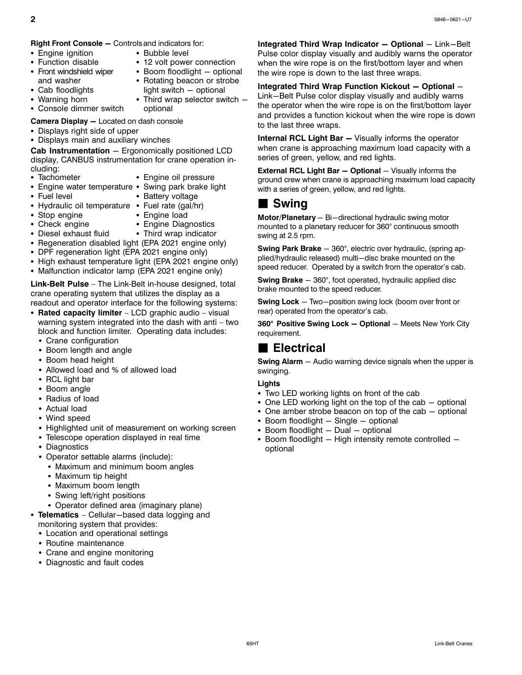#### <span id="page-5-0"></span>**Right Front Console - Controls and indicators for:**

- Engine ignition •
- Function disable •
- Front windshield wiper •
- 12 volt power connection

• Bubble level

- $\bullet$  Boom floodlight  $-$  optional
- and washer **.** Rotating beacon or strobe
- Cab floodlights
- Warning horn •
- $light$  switch  $-$  optional Third wrap selector switch  $-$
- Console dimmer switch optional

#### **Camera Display - Located on dash console**

- Displays right side of upper
- Displays main and auxiliary winches

**Cab Instrumentation** - Ergonomically positioned LCD display, CANBUS instrumentation for crane operation including:

- Tachometer
	- Engine oil pressure
- 
- Engine water temperature Swing park brake light
- Fuel level •
- Battery voltage
- Hydraulic oil temperature Fuel rate (gal/hr)
	- Engine load
- Stop engine \*\*\*\*\*\*\*\*\*\*\*\*\*\*\*\*\*\* • Check engine •
	- Engine Diagnostics
- Diesel exhaust fluid • Third wrap indicator
- Regeneration disabled light (EPA 2021 engine only)
- DPF regeneration light (EPA 2021 engine only)
- High exhaust temperature light (EPA 2021 engine only)
- Malfunction indicator lamp (EPA 2021 engine only)

**Link-Belt Pulse** – The Link-Belt in-house designed, total crane operating system that utilizes the display as a readout and operator interface for the following systems:

- $\bullet$ **Rated capacity limiter** – LCD graphic audio – visual warning system integrated into the dash with anti – two block and function limiter. Operating data includes:
	- Crane configuration
	- Boom length and angle
	- Boom head height
	- Allowed load and % of allowed load
	- RCL light bar
	- Boom angle
	- Radius of load
	- Actual load
	- -Wind speed
	- Highlighted unit of measurement on working screen
	- Telescope operation displayed in real time
	- Diagnostics
	- Operator settable alarms (include):
		- Maximum and minimum boom angles
		- Maximum tip height
		- Maximum boom length
		- Swing left/right positions
	- Operator defined area (imaginary plane)
- **Telematics** Cellular-based data logging and monitoring system that provides:
	- Location and operational settings
	- Routine maintenance
	- Crane and engine monitoring
	- Diagnostic and fault codes

**Integrated Third Wrap Indicator - Optional** - Link-Belt Pulse color display visually and audibly warns the operator when the wire rope is on the first/bottom layer and when the wire rope is down to the last three wraps.

**Integrated Third Wrap Function Kickout - Optional -**Link-Belt Pulse color display visually and audibly warns the operator when the wire rope is on the first/bottom layer and provides a function kickout when the wire rope is down to the last three wraps.

**Internal RCL Light Bar - Visually informs the operator** when crane is approaching maximum load capacity with a series of green, yellow, and red lights.

**External RCL Light Bar - Optional** - Visually informs the ground crew when crane is approaching maximum load capacity with a series of green, yellow, and red lights.

### $\blacksquare$  Swing

**Motor/Planetary** - Bi-directional hydraulic swing motor mounted to a planetary reducer for 360° continuous smooth swing at 2.5 rpm.

**Swing Park Brake** - 360°, electric over hydraulic, (spring applied/hydraulic released) multi-disc brake mounted on the speed reducer. Operated by a switch from the operator's cab.

**Swing Brake** - 360°, foot operated, hydraulic applied disc brake mounted to the speed reducer.

**Swing Lock** – Two-position swing lock (boom over front or rear) operated from the operator's cab.

**360° Positive Swing Lock - Optional** - Meets New York City requirement.

## - **Electrical**

**Swing Alarm** - Audio warning device signals when the upper is swinging.

#### **Lights**

- Two LED working lights on front of the cab
- One LED working light on the top of the cab optional
- One amber strobe beacon on top of the cab optional
- Boom floodlight Single optional
- Boom floodlight Dual optional
- Boom floodlight High intensity remote controlled optional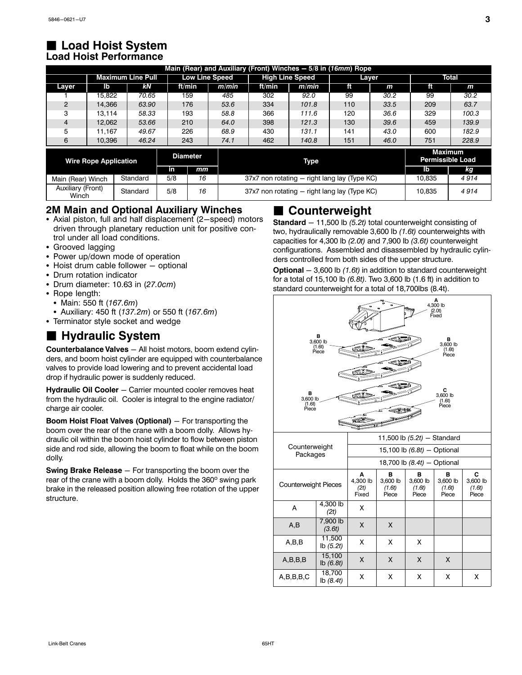### <span id="page-6-0"></span>- **Load Hoist System Load Hoist Performance**

|                            | Main (Rear) and Auxiliary (Front) Winches - 5/8 in (16mm) Rope |          |     |                        |                                                        |                                                        |              |       |      |      |                                    |  |  |
|----------------------------|----------------------------------------------------------------|----------|-----|------------------------|--------------------------------------------------------|--------------------------------------------------------|--------------|-------|------|------|------------------------------------|--|--|
|                            | <b>Low Line Speed</b><br><b>Maximum Line Pull</b>              |          |     | <b>High Line Speed</b> |                                                        | Laver                                                  |              | Total |      |      |                                    |  |  |
| Layer                      | Ib                                                             | kΝ       |     | ft/min                 | m/min                                                  | ft/min                                                 | <i>m/min</i> | ft    | m    | ft   | m                                  |  |  |
|                            | 15.822                                                         | 70.65    |     | 159                    | 485                                                    | 302                                                    | 92.0         | 99    | 30.2 | 99   | 30.2                               |  |  |
| 2                          | 14.366                                                         | 63.90    |     | 176                    | 53.6                                                   | 334                                                    | 101.8        | 110   | 33.5 | 209  | 63.7                               |  |  |
| з                          | 13.114                                                         | 58.33    |     | 193                    | 58.8                                                   | 366                                                    | 111.6        | 120   | 36.6 | 329  | 100.3                              |  |  |
| $\overline{4}$             | 12,062                                                         | 53.66    |     | 210                    | 64.0                                                   | 398                                                    | 121.3        | 130   | 39.6 | 459  | 139.9                              |  |  |
| 5                          | 11.167                                                         | 49.67    |     | 226                    | 68.9                                                   | 430                                                    | 131.1        | 141   | 43.0 | 600  | 182.9                              |  |  |
| 6                          | 10,396                                                         | 46.24    |     | 243                    | 74.1                                                   | 462                                                    | 140.8        | 151   | 46.0 | 751  | 228.9                              |  |  |
|                            | <b>Wire Rope Application</b>                                   |          |     | <b>Diameter</b>        |                                                        | Type                                                   |              |       |      |      | Maximum<br><b>Permissible Load</b> |  |  |
|                            |                                                                |          | in  | mm                     |                                                        |                                                        |              |       |      | lb   | kg                                 |  |  |
| Main (Rear) Winch          |                                                                | Standard | 5/8 | 16                     | 37x7 non rotating – right lang lay (Type KC)<br>10,835 |                                                        |              |       |      | 4914 |                                    |  |  |
| Auxiliary (Front)<br>Winch |                                                                | Standard | 5/8 | 16                     |                                                        | 37x7 non rotating – right lang lay (Type KC)<br>10.835 |              |       |      |      | 4914                               |  |  |

### **2M Main and Optional Auxiliary Winches**

- Axial piston, full and half displacement (2-speed) motors driven through planetary reduction unit for positive control under all load conditions.
- Grooved lagging
- Power up/down mode of operation
- Hoist drum cable follower optional
- Drum rotation indicator
- Drum diameter: 10.63 in (*27.0cm*)
- Rope length:
	- Main: 550 ft (*167.6m*)
- Auxiliary: 450 ft (*137.2m*) or 550 ft (*167.6m*)
- Terminator style socket and wedge

## $\blacksquare$  **Hydraulic System**

**Counterbalance Valves** - All hoist motors, boom extend cylinders, and boom hoist cylinder are equipped with counterbalance valves to provide load lowering and to prevent accidental load drop if hydraulic power is suddenly reduced.

**Hydraulic Oil Cooler** - Carrier mounted cooler removes heat from the hydraulic oil. Cooler is integral to the engine radiator/ charge air cooler.

**Boom Hoist Float Valves (Optional)** - For transporting the boom over the rear of the crane with a boom dolly. Allows hydraulic oil within the boom hoist cylinder to flow between piston side and rod side, allowing the boom to float while on the boom dolly.

**Swing Brake Release** – For transporting the boom over the rear of the crane with a boom dolly. Holds the 360º swing park brake in the released position allowing free rotation of the upper structure.

### $\blacksquare$  Counterweight

**Standard** - 11,500 lb (5.2t) total counterweight consisting of two, hydraulically removable 3,600 lb *(1.6t)* counterweights with capacities for 4,300 lb *(2.0t)* and 7,900 lb *(3.6t)* counterweight configurations. Assembled and disassembled by hydraulic cylinders controlled from both sides of the upper structure.

**Optional** - 3,600 lb (1,6t) in addition to standard counterweight for a total of 15,100 lb *(6.8t)*. Two 3,600 lb (1.6 ft) in addition to standard counterweight for a total of 18,700lbs (8.4t).

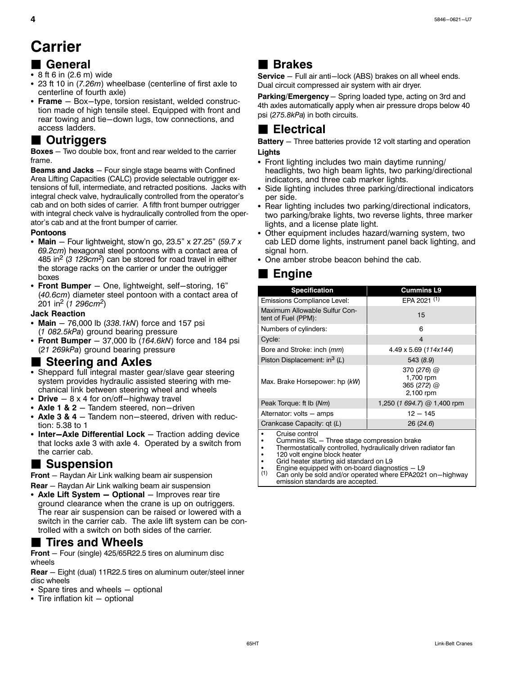## <span id="page-7-0"></span>**Carrier**

## **General**<br>• 8 ft 6 in (2.6 m)

- 8 ft 6 in (2.6 m) wide
- 23 ft 10 in (7.26*m*) wheelbase (centerline of first axle to centerline of fourth axle) centerline of fourth axle)
- Frame Box-type, torsion resistant, welded construction made of high tensile steel. Equipped with front and rear towing and tie-down lugs, tow connections, and access ladders.

### $\blacksquare$  Outriggers

**Boxes** - Two double box, front and rear welded to the carrier frame.

**Beams and Jacks** - Four single stage beams with Confined Area Lifting Capacities (CALC) provide selectable outrigger extensions of full, intermediate, and retracted positions. Jacks with integral check valve, hydraulically controlled from the operator's cab and on both sides of carrier. A fifth front bumper outrigger with integral check valve is hydraulically controlled from the operator's cab and at the front bumper of carrier.

#### **Pontoons**

- **Main** Four lightweight, stow'n go, 23.5" x 27.25" (59.7 x 69.2cm) hexagonal steel pontoons with a contact area of *69.2cm*) hexagonal steel pontoons with a contact area of 485 in2 (*3 129cm2*) can be stored for road travel in either the storage racks on the carrier or under the outrigger boxes
- Front Bumper One, lightweight, self-storing, 16" (*40.6cm*) diameter steel pontoon with a contact area of 201 in2 (*1 296cm2*)

#### **Jack Reaction**

- **Main** 76,000 lb (338.1kN) force and 157 psi<br>(1.082.5kPa) ground bearing pressure (*1 082.5kPa*) ground bearing pressure
- **Front Bumper** 37,000 lb (164.6kN) force and 184 psi<br>(21.269kPa) ground bearing pressure (*21 269kPa*) ground bearing pressure

## **Steering and Axles**<br>• Sheppard full integral master of

- Sheppard full integral master gear/slave gear steering system provides hydraulic assisted steering with mechanical link between steering wheel and wheels
- **Drive** 8 x 4 for on/off-highway travel
- Axle 1 & 2 Tandem steered, non-driven
- Axle 3 & 4 Tandem non-steered, driven with reduction: 5.38 to 1
- Inter-Axle Differential Lock Traction adding device that locks axle 3 with axle 4. Operated by a switch from the carrier cab.

### - **Suspension**

**Front** - Raydan Air Link walking beam air suspension

**Rear** - Raydan Air Link walking beam air suspension

• Axle Lift System - Optional - Improves rear tire ground clearance when the crane is up on outriggers. The rear air suspension can be raised or lowered with a switch in the carrier cab. The axle lift system can be controlled with a switch on both sides of the carrier.

### $\blacksquare$  **Tires and Wheels**

**Front** - Four (single) 425/65R22.5 tires on aluminum disc wheels

**Rear** - Eight (dual) 11R22.5 tires on aluminum outer/steel inner disc wheels

- Spare tires and wheels optional
- Tire inflation kit optional

## - **Brakes**

**Service** - Full air anti-lock (ABS) brakes on all wheel ends. Dual circuit compressed air system with air dryer.

**Parking/Emergency** – Spring loaded type, acting on 3rd and 4th axles automatically apply when air pressure drops below 40 psi (*275.8kPa*) in both circuits.

## - **Electrical**

**Battery** - Three batteries provide 12 volt starting and operation **Lights**

- Front lighting includes two main daytime running/ headlights, two high beam lights, two parking/directional indicators, and three cab marker lights.
- Side lighting includes three parking/directional indicators per side.
- Rear lighting includes two parking/directional indicators, two parking/brake lights, two reverse lights, three marker lights, and a license plate light.
- Other equipment includes hazard/warning system, two cab LED dome lights, instrument panel back lighting, and signal horn.
- One amber strobe beacon behind the cab.

### **Engine**

| <b>Specification</b>                                 | <b>Cummins L9</b>                                        |  |  |  |  |
|------------------------------------------------------|----------------------------------------------------------|--|--|--|--|
| Emissions Compliance Level:                          | EPA 2021 (1)                                             |  |  |  |  |
| Maximum Allowable Sulfur Con-<br>tent of Fuel (PPM): | 15                                                       |  |  |  |  |
| Numbers of cylinders:                                | 6                                                        |  |  |  |  |
| Cycle:                                               | 4                                                        |  |  |  |  |
| Bore and Stroke: inch (mm)                           | 4.49 x 5.69 (114x144)                                    |  |  |  |  |
| Piston Displacement: $in^3(L)$                       | 543 (8.9)                                                |  |  |  |  |
| Max. Brake Horsepower: hp (kW)                       | 370 $(276)$ @<br>1,700 rpm<br>365 $(272)$ @<br>2,100 rpm |  |  |  |  |
| Peak Torque: ft lb (Nm)                              | 1,250 (1 694.7) @ 1,400 rpm                              |  |  |  |  |
| Alternator: volts - amps                             | $12 - 145$                                               |  |  |  |  |
| Crankcase Capacity: qt (L)                           | 26(24.6)                                                 |  |  |  |  |
| Cruise control                                       |                                                          |  |  |  |  |

• Cruise control<br>• Cummins ISL – Three stage compression brake

-Thermostatically controlled, hydraulically driven radiator fan -

120 volt engine block heater

• Grid heater starting aid standard on L9<br>• Engine equipped with on-board diagnostics – L9<br>(1) Can only be sold and/or operated where FPA202:

Can only be sold and/or operated where EPA2021 on-highway emission standards are accepted.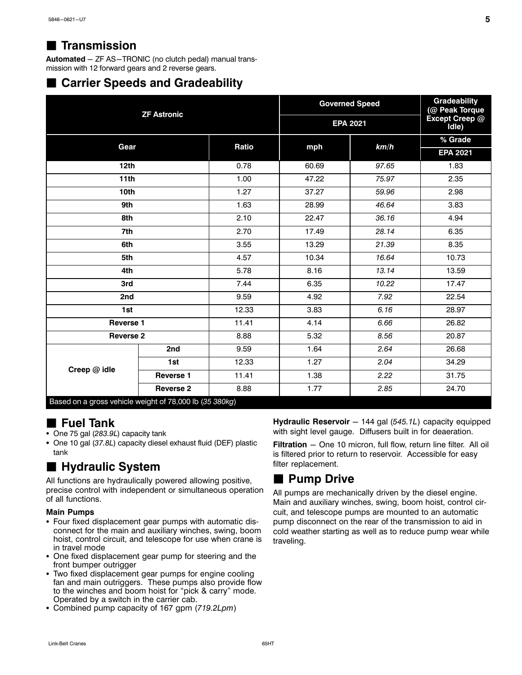## <span id="page-8-0"></span>- **Transmission**

Automated - ZF AS-TRONIC (no clutch pedal) manual transmission with 12 forward gears and 2 reverse gears.

## ■ Carrier Speeds and Gradeability

|                                                         | <b>ZF Astronic</b> |              | <b>Governed Speed</b> |       | <b>Gradeability</b><br>(@ Peak Torque |
|---------------------------------------------------------|--------------------|--------------|-----------------------|-------|---------------------------------------|
|                                                         |                    |              | <b>EPA 2021</b>       |       | Except Creep @<br>Idle)               |
| Gear                                                    |                    | <b>Ratio</b> | mph                   | km/h  | % Grade                               |
|                                                         |                    |              |                       |       | <b>EPA 2021</b>                       |
| 12 <sub>th</sub>                                        |                    | 0.78         | 60.69                 | 97.65 | 1.83                                  |
| 11 <sub>th</sub>                                        |                    | 1.00         | 47.22                 | 75.97 | 2.35                                  |
| 10th                                                    |                    | 1.27         | 37.27                 | 59.96 | 2.98                                  |
| 9th                                                     |                    | 1.63         | 28.99                 | 46.64 | 3.83                                  |
| 8th                                                     |                    | 2.10         | 22.47                 | 36.16 | 4.94                                  |
| 7th                                                     |                    | 2.70         | 17.49                 | 28.14 | 6.35                                  |
| 6th                                                     |                    | 3.55         | 13.29                 | 21.39 | 8.35                                  |
| 5th                                                     |                    | 4.57         | 10.34                 | 16.64 | 10.73                                 |
| 4th                                                     |                    | 5.78         | 8.16                  | 13.14 | 13.59                                 |
| 3rd                                                     |                    | 7.44         | 6.35                  | 10.22 | 17.47                                 |
| 2nd                                                     |                    | 9.59         | 4.92                  | 7.92  | 22.54                                 |
| 1st                                                     |                    | 12.33        | 3.83                  | 6.16  | 28.97                                 |
| <b>Reverse 1</b>                                        |                    | 11.41        | 4.14                  | 6.66  | 26.82                                 |
| <b>Reverse 2</b>                                        |                    | 8.88         | 5.32                  | 8.56  | 20.87                                 |
|                                                         | 2nd                | 9.59         | 1.64                  | 2.64  | 26.68                                 |
|                                                         | 1st                | 12.33        | 1.27                  | 2.04  | 34.29                                 |
| Creep @ idle                                            | Reverse 1          | 11.41        | 1.38                  | 2.22  | 31.75                                 |
|                                                         | <b>Reverse 2</b>   | 8.88         | 1.77                  | 2.85  | 24.70                                 |
| Based on a gross vehicle weight of 78,000 lb (35 380kg) |                    |              |                       |       |                                       |

## **Fuel Tank**<br>• One 75 gal (283.9)

- One 75 gal (*283.9L*) capacity tank
- One 10 gal (*37.8L*) capacity diesel exhaust fluid (DEF) plastic tank

## $\blacksquare$  **Hydraulic System**

All functions are hydraulically powered allowing positive, precise control with independent or simultaneous operation of all functions.

#### **Main Pumps**

- Four fixed displacement gear pumps with automatic disconnect for the main and auxiliary winches, swing, boom hoist, control circuit, and telescope for use when crane is in travel mode
- One fixed displacement gear pump for steering and the front bumper outrigger
- Two fixed displacement gear pumps for engine cooling fan and main outriggers. These pumps also provide flow to the winches and boom hoist for "pick & carry" mode. Operated by a switch in the carrier cab.
- Combined pump capacity of 167 gpm (*719.2Lpm*)

**Hydraulic Reservoir** - 144 gal (545.1L) capacity equipped with sight level gauge. Diffusers built in for deaeration.

Filtration - One 10 micron, full flow, return line filter. All oil is filtered prior to return to reservoir. Accessible for easy filter replacement.

## **Pump Drive**

All pumps are mechanically driven by the diesel engine. Main and auxiliary winches, swing, boom hoist, control circuit, and telescope pumps are mounted to an automatic pump disconnect on the rear of the transmission to aid in cold weather starting as well as to reduce pump wear while traveling.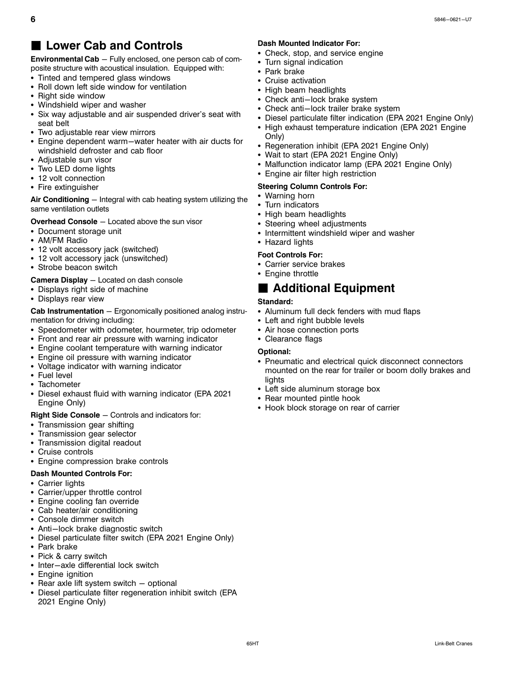## <span id="page-9-0"></span>■ Lower Cab and Controls

**Environmental Cab** - Fully enclosed, one person cab of composite structure with acoustical insulation. Equipped with:

- .<br>• Tinted and tempered glass windows
- Roll down left side window for ventilation
- Right side window
- Windshield wiper and washer
- Six way adjustable and air suspended driver's seat with seat belt
- Two adjustable rear view mirrors
- Engine dependent warm-water heater with air ducts for windshield defroster and cab floor
- Adjustable sun visor
- Two LED dome lights
- 12 volt connection
- Fire extinguisher

Air Conditioning - Integral with cab heating system utilizing the same ventilation outlets

#### **Overhead Console** - Located above the sun visor

- Document storage unit
- AM/FM Radio
- 12 volt accessory jack (switched)
- 12 volt accessory jack (unswitched)
- Strobe beacon switch

#### **Camera Display** - Located on dash console

- Displays right side of machine
- Displays rear view

**Cab Instrumentation** - Ergonomically positioned analog instrumentation for driving including:

- Speedometer with odometer, hourmeter, trip odometer
- Front and rear air pressure with warning indicator
- Engine coolant temperature with warning indicator
- Engine oil pressure with warning indicator
- Voltage indicator with warning indicator
- Fuel level
- Tachometer
- Diesel exhaust fluid with warning indicator (EPA 2021 Engine Only)

**Right Side Console** - Controls and indicators for:

- Transmission gear shifting
- Transmission gear selector
- Transmission digital readout
- Cruise controls
- Engine compression brake controls

#### **Dash Mounted Controls For:**

- Carrier lights
- Carrier/upper throttle control
- Engine cooling fan override
- Cab heater/air conditioning
- Console dimmer switch
- Anti-lock brake diagnostic switch
- Diesel particulate filter switch (EPA 2021 Engine Only)
- Park brake
- Pick & carry switch
- Inter-axle differential lock switch
- Engine ignition
- Rear axle lift system switch optional<br>• Diesel particulate filter regeneration in
- Diesel particulate filter regeneration inhibit switch (EPA 2021 Engine Only)

#### **Dash Mounted Indicator For:**

- Check, stop, and service engine
- Turn signal indication
- Park brake
- Cruise activation
- High beam headlights
- Check anti-lock brake system
- Check anti-lock trailer brake system
- Diesel particulate filter indication (EPA 2021 Engine Only)
- High exhaust temperature indication (EPA 2021 Engine Only)
- Regeneration inhibit (EPA 2021 Engine Only)
- Wait to start (EPA 2021 Engine Only)
- Malfunction indicator lamp (EPA 2021 Engine Only)
- Engine air filter high restriction

#### **Steering Column Controls For:**

- Warning horn
- Turn indicators
- High beam headlights
- Steering wheel adjustments
- Intermittent windshield wiper and washer
- Hazard lights

#### **Foot Controls For:**

- Carrier service brakes
- Engine throttle

## **E** Additional Equipment

#### **Standard:**

- Aluminum full deck fenders with mud flaps
- Left and right bubble levels
- Air hose connection ports
- Clearance flags

#### **Optional:**

- Pneumatic and electrical quick disconnect connectors mounted on the rear for trailer or boom dolly brakes and lights
- Left side aluminum storage box
- Rear mounted pintle hook
- Hook block storage on rear of carrier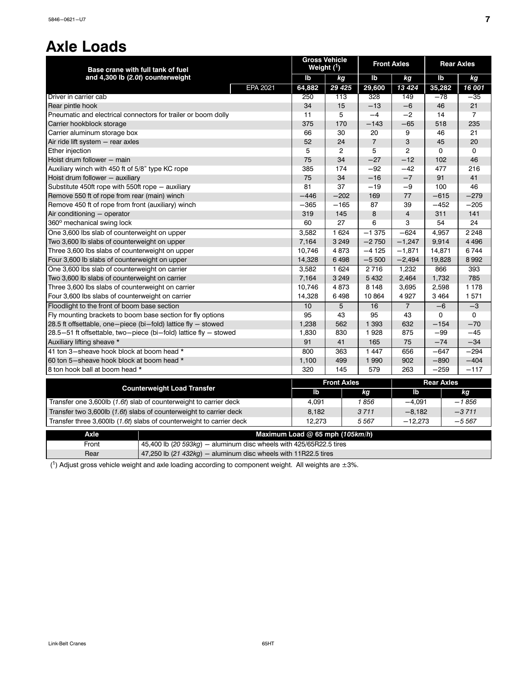## <span id="page-10-0"></span>**Axle Loads**

| Base crane with full tank of fuel                                           | Weight $(1)$ | <b>Gross Vehicle</b> |                | <b>Front Axles</b> | <b>Rear Axles</b> |                |
|-----------------------------------------------------------------------------|--------------|----------------------|----------------|--------------------|-------------------|----------------|
| and 4,300 lb (2.0t) counterweight                                           | Ib           | kg                   | Ib             | kg                 | lb                | kg             |
| <b>EPA 2021</b>                                                             | 64,882       | 29 4 25              | 29,600         | 13 4 24            | 35,282            | 16 001         |
| Driver in carrier cab                                                       | 250          | 113                  | 328            | 149                | $-78$             | $-35$          |
| Rear pintle hook                                                            | 34           | 15                   | $-13$          | $-6$               | 46                | 21             |
| Pneumatic and electrical connectors for trailer or boom dolly               | 11           | 5                    | $-4$           | $-2$               | 14                | $\overline{7}$ |
| Carrier hookblock storage                                                   | 375          | 170                  | $-143$         | $-65$              | 518               | 235            |
| Carrier aluminum storage box                                                | 66           | 30                   | 20             | 9                  | 46                | 21             |
| Air ride lift system - rear axles                                           | 52           | 24                   | $\overline{7}$ | 3                  | 45                | 20             |
| Ether injection                                                             | 5            | $\overline{2}$       | 5              | $\overline{2}$     | $\Omega$          | $\Omega$       |
| Hoist drum follower - main                                                  | 75           | 34                   | $-27$          | $-12$              | 102               | 46             |
| Auxiliary winch with 450 ft of 5/8" type KC rope                            | 385          | 174                  | $-92$          | $-42$              | 477               | 216            |
| Hoist drum follower - auxiliary                                             | 75           | 34                   | $-16$          | $-7$               | 91                | 41             |
| Substitute 450ft rope with 550ft rope - auxiliary                           | 81           | 37                   | $-19$          | $-9$               | 100               | 46             |
| Remove 550 ft of rope from rear (main) winch                                | $-446$       | $-202$               | 169            | 77                 | $-615$            | $-279$         |
| Remove 450 ft of rope from front (auxiliary) winch                          | $-365$       | $-165$               | 87             | 39                 | $-452$            | $-205$         |
| Air conditioning - operator                                                 | 319          | 145                  | 8              | $\overline{4}$     | 311               | 141            |
| 360° mechanical swing lock                                                  | 60           | 27                   | 6              | 3                  | 54                | 24             |
| One 3,600 lbs slab of counterweight on upper                                | 3,582        | 1 6 24               | $-1375$        | $-624$             | 4,957             | 2 2 4 8        |
| Two 3,600 lb slabs of counterweight on upper                                | 7,164        | 3 2 4 9              | $-2750$        | $-1,247$           | 9,914             | 4 4 9 6        |
| Three 3,600 lbs slabs of counterweight on upper                             | 10,746       | 4873                 | $-4125$        | $-1.871$           | 14,871            | 6744           |
| Four 3,600 lb slabs of counterweight on upper                               | 14,328       | 6498                 | $-5500$        | $-2,494$           | 19,828            | 8 9 9 2        |
| One 3,600 lbs slab of counterweight on carrier                              | 3,582        | 1 6 2 4              | 2716           | 1,232              | 866               | 393            |
| Two 3,600 lb slabs of counterweight on carrier                              | 7,164        | 3 2 4 9              | 5 4 3 2        | 2,464              | 1,732             | 785            |
| Three 3,600 lbs slabs of counterweight on carrier                           | 10,746       | 4873                 | 8 1 4 8        | 3.695              | 2,598             | 1 1 7 8        |
| Four 3,600 lbs slabs of counterweight on carrier                            | 14,328       | 6498                 | 10864          | 4927               | 3464              | 1 571          |
| Floodlight to the front of boom base section                                | 10           | $5\overline{)}$      | 16             | $\overline{7}$     | $-6$              | $-3$           |
| Fly mounting brackets to boom base section for fly options                  | 95           | 43                   | 95             | 43                 | 0                 | 0              |
| 28.5 ft offsettable, one-piece (bi-fold) lattice fly - stowed               | 1,238        | 562                  | 1 3 9 3        | 632                | $-154$            | $-70$          |
| $28.5-51$ ft offsettable, two-piece (bi-fold) lattice fly - stowed          | 1,830        | 830                  | 1928           | 875                | $-99$             | $-45$          |
| Auxiliary lifting sheave *                                                  | 91           | 41                   | 165            | 75                 | $-74$             | $-34$          |
| 41 ton 3-sheave hook block at boom head *                                   | 800          | 363                  | 1 4 4 7        | 656                | $-647$            | $-294$         |
| 60 ton 5-sheave hook block at boom head *                                   | 1,100        | 499                  | 1 9 9 0        | 902                | $-890$            | $-404$         |
| 8 ton hook ball at boom head *                                              | 320          | 145                  | 579            | 263                | $-259$            | $-117$         |
|                                                                             |              | <b>Front Axles</b>   |                |                    | <b>Rear Axles</b> |                |
| <b>Counterweight Load Transfer</b>                                          | Ib           |                      | kg             | Ib                 |                   | kg             |
| Transfer one 3,600lb (1.6t) slab of counterweight to carrier deck           | 4,091        |                      | 1856           | $-4,091$           |                   | $-1856$        |
| Transfer two 3,600lb (1.6t) slabs of counterweight to carrier deck          | 8,182        |                      | 3711           | $-8,182$           |                   | $-3711$        |
| Transfer three 3,600lb (1.6t) slabs of counterweight to carrier deck        | 12,273       |                      | 5567           | $-12,273$          |                   | $-5567$        |
| Axle<br>Maximum Load @ 65 mph (105km/h)                                     |              |                      |                |                    |                   |                |
| 45,400 lb (20 593kg) - aluminum disc wheels with 425/65R22.5 tires<br>Front |              |                      |                |                    |                   |                |
| Rear<br>47,250 lb $(21.432kg)$ – aluminum disc wheels with 11R22.5 tires    |              |                      |                |                    |                   |                |
|                                                                             |              |                      |                |                    |                   |                |

 $(1)$  Adjust gross vehicle weight and axle loading according to component weight. All weights are  $\pm 3\%$ .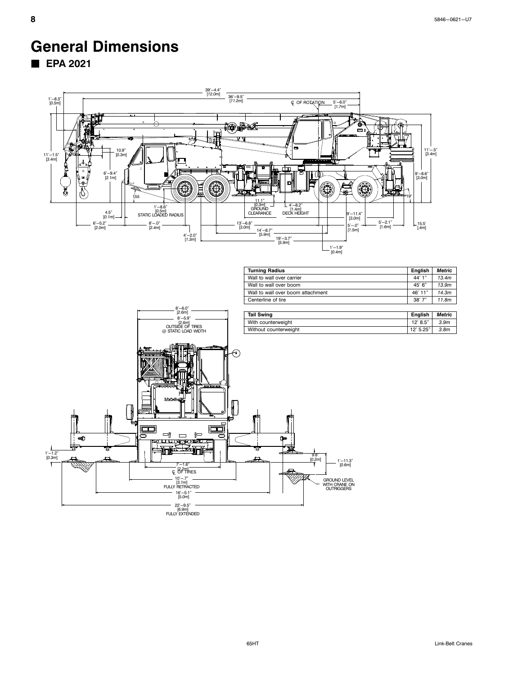## <span id="page-11-0"></span>**General Dimensions**

- **EPA 2021**



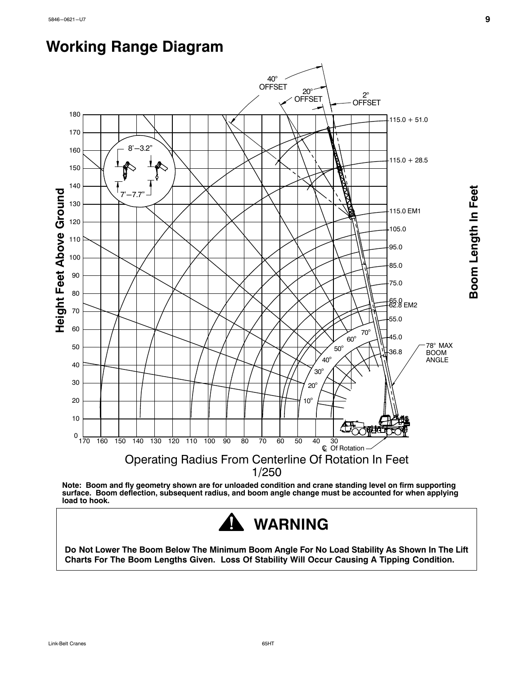## <span id="page-12-0"></span>**Working Range Diagram**



**Note: Boom and fly geometry shown are for unloaded condition and crane standing level on firm supporting surface. Boom deflection, subsequent radius, and boom angle change must be accounted for when applying load to hook.**



**Do Not Lower The Boom Below The Minimum Boom Angle For No Load Stability As Shown In The Lift Charts For The Boom Lengths Given. Loss Of Stability Will Occur Causing A Tipping Condition.**

**Boom Length In Feet**

Boom Length In Feet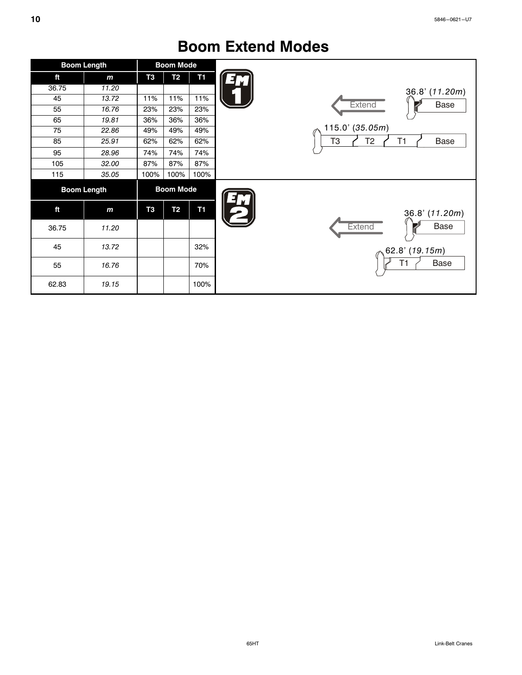## **Boom Extend Modes**

|       | <b>Boom Length</b>                     |                | <b>Boom Mode</b> |           |                        |
|-------|----------------------------------------|----------------|------------------|-----------|------------------------|
| ft    | $\mathbf{m}$                           | T <sub>3</sub> | T <sub>2</sub>   | <b>T1</b> |                        |
| 36.75 | 11.20                                  |                |                  |           | 36.8' (11.20m)         |
| 45    | 13.72                                  | 11%            | 11%              | 11%       | <b>Extend</b><br>Base  |
| 55    | 16.76                                  | 23%            | 23%              | 23%       |                        |
| 65    | 19.81                                  | 36%            | 36%              | 36%       |                        |
| 75    | 22.86                                  | 49%            | 49%              | 49%       | 115.0' (35.05m)        |
| 85    | 25.91                                  | 62%            | 62%              | 62%       | T1<br>T3<br>Т2<br>Base |
| 95    | 28.96                                  | 74%            | 74%              | 74%       |                        |
| 105   | 32.00                                  | 87%            | 87%              | 87%       |                        |
| 115   | 35.05                                  | 100%           | 100%             | 100%      |                        |
|       | <b>Boom Mode</b><br><b>Boom Length</b> |                |                  |           |                        |
| ft    | $\mathbf{m}$                           | T3             | <b>T2</b>        | T1        | 36.8' (11.20m)         |
| 36.75 | 11.20                                  |                |                  |           | <b>Extend</b><br>Base  |
| 45    | 13.72                                  |                |                  | 32%       | 62.8' (19.15m)         |
| 55    | 16.76                                  |                |                  | 70%       | Base<br>T1             |
| 62.83 | 19.15                                  |                |                  | 100%      |                        |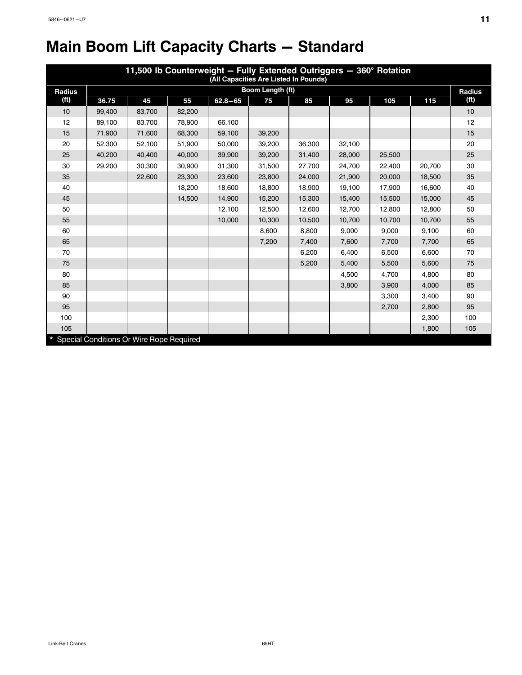## <span id="page-14-0"></span>**Main Boom Lift Capacity Charts - Standard**

|                                            |        |        |        | 11,500 lb Counterweight - Fully Extended Outriggers - 360° Rotation<br>(All Capacities Are Listed In Pounds) |                  |        |        |        |        |                   |
|--------------------------------------------|--------|--------|--------|--------------------------------------------------------------------------------------------------------------|------------------|--------|--------|--------|--------|-------------------|
| <b>Radius</b>                              |        |        |        |                                                                                                              | Boom Length (ft) |        |        |        |        | <b>Radius</b>     |
| (f <sup>t</sup> )                          | 36.75  | 45     | 55     | $62.8 - 65$                                                                                                  | 75               | 85     | 95     | 105    | 115    | (f <sup>t</sup> ) |
| 10                                         | 99,400 | 83,700 | 82,200 |                                                                                                              |                  |        |        |        |        | 10                |
| 12                                         | 89.100 | 83.700 | 78.900 | 66,100                                                                                                       |                  |        |        |        |        | 12                |
| 15                                         | 71,900 | 71,600 | 68,300 | 59,100                                                                                                       | 39,200           |        |        |        |        | 15                |
| 20                                         | 52,300 | 52,100 | 51,900 | 50,000                                                                                                       | 39,200           | 36,300 | 32,100 |        |        | 20                |
| 25                                         | 40,200 | 40,400 | 40,000 | 39,900                                                                                                       | 39,200           | 31,400 | 28,000 | 25,500 |        | 25                |
| 30                                         | 29,200 | 30,300 | 30,900 | 31,300                                                                                                       | 31,500           | 27,700 | 24,700 | 22,400 | 20,700 | 30                |
| 35                                         |        | 22,600 | 23,300 | 23,600                                                                                                       | 23,800           | 24,000 | 21,900 | 20,000 | 18,500 | 35                |
| 40                                         |        |        | 18.200 | 18.600                                                                                                       | 18.800           | 18,900 | 19.100 | 17.900 | 16.600 | 40                |
| 45                                         |        |        | 14,500 | 14,900                                                                                                       | 15,200           | 15,300 | 15,400 | 15,500 | 15,000 | 45                |
| 50                                         |        |        |        | 12,100                                                                                                       | 12,500           | 12,600 | 12,700 | 12,800 | 12,800 | 50                |
| 55                                         |        |        |        | 10,000                                                                                                       | 10,300           | 10,500 | 10,700 | 10,700 | 10,700 | 55                |
| 60                                         |        |        |        |                                                                                                              | 8,600            | 8,800  | 9,000  | 9,000  | 9,100  | 60                |
| 65                                         |        |        |        |                                                                                                              | 7,200            | 7,400  | 7,600  | 7,700  | 7,700  | 65                |
| 70                                         |        |        |        |                                                                                                              |                  | 6,200  | 6,400  | 6,500  | 6,600  | 70                |
| 75                                         |        |        |        |                                                                                                              |                  | 5,200  | 5,400  | 5,500  | 5,600  | 75                |
| 80                                         |        |        |        |                                                                                                              |                  |        | 4,500  | 4,700  | 4,800  | 80                |
| 85                                         |        |        |        |                                                                                                              |                  |        | 3,800  | 3,900  | 4,000  | 85                |
| 90                                         |        |        |        |                                                                                                              |                  |        |        | 3,300  | 3,400  | 90                |
| 95                                         |        |        |        |                                                                                                              |                  |        |        | 2,700  | 2,800  | 95                |
| 100                                        |        |        |        |                                                                                                              |                  |        |        |        | 2,300  | 100               |
| 105                                        |        |        |        |                                                                                                              |                  |        |        |        | 1,800  | 105               |
| * Special Conditions Or Wire Rope Required |        |        |        |                                                                                                              |                  |        |        |        |        |                   |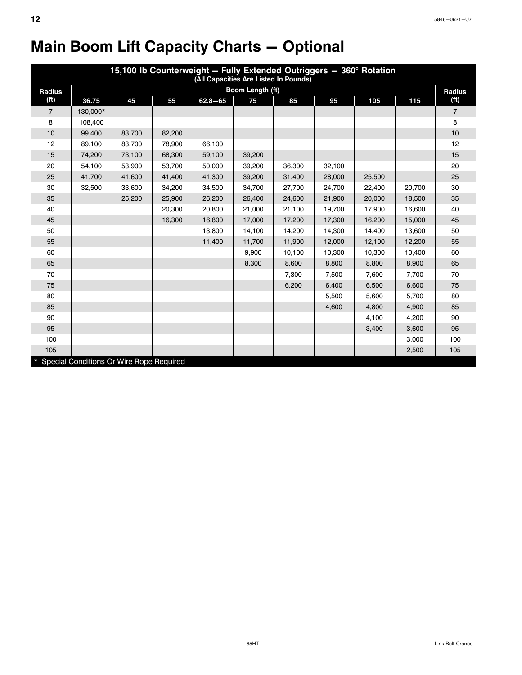|                   |                                            | 15,100 lb Counterweight - Fully Extended Outriggers - 360° Rotation<br>(All Capacities Are Listed In Pounds) |        |             |                  |        |        |        |        |                   |  |  |  |  |
|-------------------|--------------------------------------------|--------------------------------------------------------------------------------------------------------------|--------|-------------|------------------|--------|--------|--------|--------|-------------------|--|--|--|--|
| <b>Radius</b>     |                                            |                                                                                                              |        |             | Boom Length (ft) |        |        |        |        | <b>Radius</b>     |  |  |  |  |
| (f <sup>t</sup> ) | 36.75                                      | 45                                                                                                           | 55     | $62.8 - 65$ | 75               | 85     | 95     | 105    | 115    | (f <sup>t</sup> ) |  |  |  |  |
| $\overline{7}$    | 130,000*                                   |                                                                                                              |        |             |                  |        |        |        |        | $\overline{7}$    |  |  |  |  |
| 8                 | 108,400                                    |                                                                                                              |        |             |                  |        |        |        |        | 8                 |  |  |  |  |
| 10                | 99.400                                     | 83,700                                                                                                       | 82,200 |             |                  |        |        |        |        | 10                |  |  |  |  |
| 12                | 89,100                                     | 83,700                                                                                                       | 78,900 | 66,100      |                  |        |        |        |        | 12                |  |  |  |  |
| 15                | 74,200                                     | 73,100                                                                                                       | 68,300 | 59,100      | 39,200           |        |        |        |        | 15                |  |  |  |  |
| 20                | 54,100                                     | 53,900                                                                                                       | 53,700 | 50,000      | 39,200           | 36,300 | 32,100 |        |        | 20                |  |  |  |  |
| 25                | 41,700                                     | 41,600                                                                                                       | 41,400 | 41,300      | 39,200           | 31,400 | 28,000 | 25,500 |        | 25                |  |  |  |  |
| 30                | 32,500                                     | 33,600                                                                                                       | 34.200 | 34,500      | 34,700           | 27,700 | 24,700 | 22,400 | 20,700 | 30                |  |  |  |  |
| 35                |                                            | 25,200                                                                                                       | 25,900 | 26,200      | 26,400           | 24,600 | 21,900 | 20,000 | 18,500 | 35                |  |  |  |  |
| 40                |                                            |                                                                                                              | 20,300 | 20,800      | 21,000           | 21,100 | 19,700 | 17,900 | 16,600 | 40                |  |  |  |  |
| 45                |                                            |                                                                                                              | 16,300 | 16,800      | 17,000           | 17,200 | 17,300 | 16,200 | 15,000 | 45                |  |  |  |  |
| 50                |                                            |                                                                                                              |        | 13,800      | 14,100           | 14,200 | 14,300 | 14,400 | 13,600 | 50                |  |  |  |  |
| 55                |                                            |                                                                                                              |        | 11,400      | 11,700           | 11,900 | 12,000 | 12,100 | 12,200 | 55                |  |  |  |  |
| 60                |                                            |                                                                                                              |        |             | 9,900            | 10,100 | 10,300 | 10,300 | 10,400 | 60                |  |  |  |  |
| 65                |                                            |                                                                                                              |        |             | 8,300            | 8,600  | 8,800  | 8,800  | 8,900  | 65                |  |  |  |  |
| 70                |                                            |                                                                                                              |        |             |                  | 7,300  | 7,500  | 7,600  | 7,700  | 70                |  |  |  |  |
| 75                |                                            |                                                                                                              |        |             |                  | 6,200  | 6,400  | 6,500  | 6,600  | 75                |  |  |  |  |
| 80                |                                            |                                                                                                              |        |             |                  |        | 5,500  | 5,600  | 5,700  | 80                |  |  |  |  |
| 85                |                                            |                                                                                                              |        |             |                  |        | 4,600  | 4,800  | 4,900  | 85                |  |  |  |  |
| 90                |                                            |                                                                                                              |        |             |                  |        |        | 4,100  | 4,200  | 90                |  |  |  |  |
| 95                |                                            |                                                                                                              |        |             |                  |        |        | 3,400  | 3,600  | 95                |  |  |  |  |
| 100               |                                            |                                                                                                              |        |             |                  |        |        |        | 3,000  | 100               |  |  |  |  |
| 105               |                                            |                                                                                                              |        |             |                  |        |        |        | 2,500  | 105               |  |  |  |  |
|                   | * Special Conditions Or Wire Rope Required |                                                                                                              |        |             |                  |        |        |        |        |                   |  |  |  |  |

## <span id="page-15-0"></span>**Main Boom Lift Capacity Charts - Optional**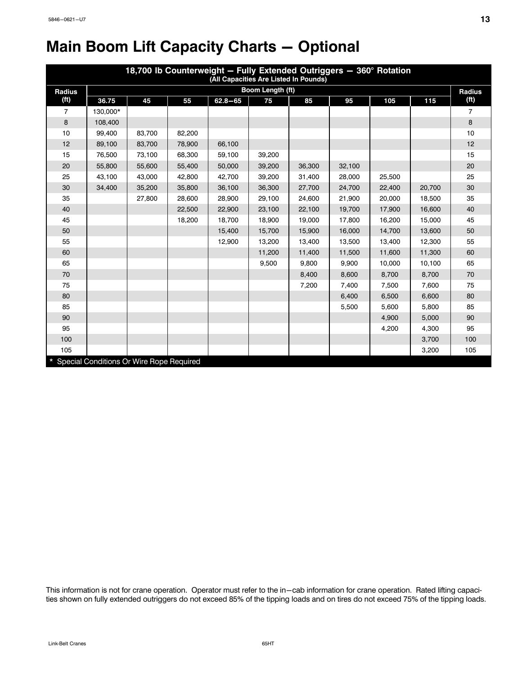## <span id="page-16-0"></span>**Main Boom Lift Capacity Charts - Optional**

|                   |                                          |        |        | 18,700 lb Counterweight - Fully Extended Outriggers - 360° Rotation | (All Capacities Are Listed In Pounds) |        |        |        |        |                   |
|-------------------|------------------------------------------|--------|--------|---------------------------------------------------------------------|---------------------------------------|--------|--------|--------|--------|-------------------|
| <b>Radius</b>     |                                          |        |        |                                                                     | <b>Boom Length (ft)</b>               |        |        |        |        | Radius            |
| (f <sup>t</sup> ) | 36.75                                    | 45     | 55     | $62.8 - 65$                                                         | 75                                    | 85     | 95     | 105    | 115    | (f <sup>t</sup> ) |
| $\overline{7}$    | 130.000*                                 |        |        |                                                                     |                                       |        |        |        |        | $\overline{7}$    |
| 8                 | 108,400                                  |        |        |                                                                     |                                       |        |        |        |        | 8                 |
| 10                | 99,400                                   | 83,700 | 82,200 |                                                                     |                                       |        |        |        |        | 10                |
| 12                | 89,100                                   | 83,700 | 78,900 | 66,100                                                              |                                       |        |        |        |        | 12                |
| 15                | 76,500                                   | 73,100 | 68,300 | 59,100                                                              | 39,200                                |        |        |        |        | 15                |
| 20                | 55,800                                   | 55,600 | 55,400 | 50,000                                                              | 39,200                                | 36,300 | 32,100 |        |        | 20                |
| 25                | 43,100                                   | 43,000 | 42,800 | 42,700                                                              | 39,200                                | 31,400 | 28,000 | 25,500 |        | 25                |
| 30                | 34,400                                   | 35,200 | 35,800 | 36,100                                                              | 36,300                                | 27,700 | 24,700 | 22,400 | 20,700 | 30                |
| 35                |                                          | 27,800 | 28,600 | 28,900                                                              | 29,100                                | 24,600 | 21,900 | 20,000 | 18,500 | 35                |
| 40                |                                          |        | 22,500 | 22,900                                                              | 23,100                                | 22,100 | 19,700 | 17,900 | 16,600 | 40                |
| 45                |                                          |        | 18,200 | 18,700                                                              | 18,900                                | 19,000 | 17,800 | 16,200 | 15,000 | 45                |
| 50                |                                          |        |        | 15,400                                                              | 15,700                                | 15,900 | 16,000 | 14,700 | 13,600 | 50                |
| 55                |                                          |        |        | 12,900                                                              | 13,200                                | 13,400 | 13,500 | 13,400 | 12,300 | 55                |
| 60                |                                          |        |        |                                                                     | 11,200                                | 11,400 | 11,500 | 11,600 | 11,300 | 60                |
| 65                |                                          |        |        |                                                                     | 9,500                                 | 9,800  | 9,900  | 10,000 | 10,100 | 65                |
| 70                |                                          |        |        |                                                                     |                                       | 8,400  | 8,600  | 8,700  | 8,700  | 70                |
| 75                |                                          |        |        |                                                                     |                                       | 7,200  | 7,400  | 7,500  | 7,600  | 75                |
| 80                |                                          |        |        |                                                                     |                                       |        | 6,400  | 6,500  | 6,600  | 80                |
| 85                |                                          |        |        |                                                                     |                                       |        | 5,500  | 5,600  | 5,800  | 85                |
| 90                |                                          |        |        |                                                                     |                                       |        |        | 4,900  | 5,000  | 90                |
| 95                |                                          |        |        |                                                                     |                                       |        |        | 4,200  | 4,300  | 95                |
| 100               |                                          |        |        |                                                                     |                                       |        |        |        | 3,700  | 100               |
| 105               |                                          |        |        |                                                                     |                                       |        |        |        | 3,200  | 105               |
|                   | Special Conditions Or Wire Rope Required |        |        |                                                                     |                                       |        |        |        |        |                   |

This information is not for crane operation. Operator must refer to the in-cab information for crane operation. Rated lifting capacities shown on fully extended outriggers do not exceed 85% of the tipping loads and on tires do not exceed 75% of the tipping loads.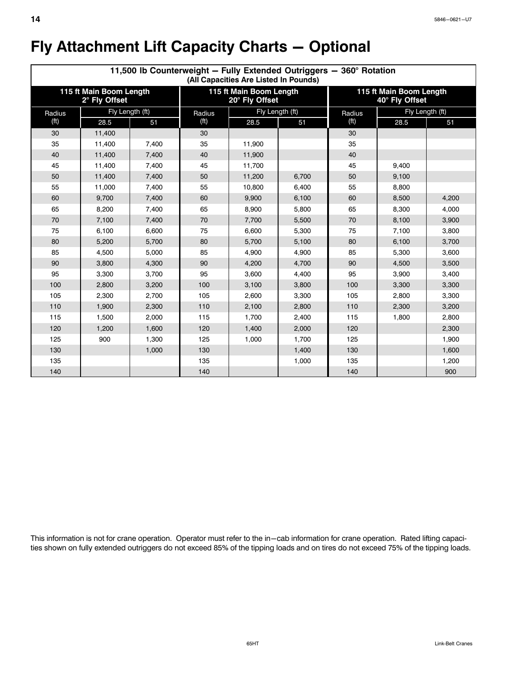|                   | 11,500 lb Counterweight - Fully Extended Outriggers - 360° Rotation<br>(All Capacities Are Listed In Pounds) |       |                   |                                           |       |                   |                                           |       |  |  |  |  |  |
|-------------------|--------------------------------------------------------------------------------------------------------------|-------|-------------------|-------------------------------------------|-------|-------------------|-------------------------------------------|-------|--|--|--|--|--|
|                   | 115 ft Main Boom Length<br>2° Fly Offset                                                                     |       |                   | 115 ft Main Boom Length<br>20° Fly Offset |       |                   | 115 ft Main Boom Length<br>40° Fly Offset |       |  |  |  |  |  |
| Radius            | Fly Length (ft)                                                                                              |       | Radius            | Fly Length (ft)                           |       | Radius            | Fly Length (ft)                           |       |  |  |  |  |  |
| (f <sup>t</sup> ) | 28.5                                                                                                         | 51    | (f <sup>t</sup> ) | 28.5                                      | 51    | (f <sup>t</sup> ) | 28.5                                      | 51    |  |  |  |  |  |
| 30                | 11,400                                                                                                       |       | 30                |                                           |       | 30                |                                           |       |  |  |  |  |  |
| 35                | 11.400                                                                                                       | 7.400 | 35                | 11.900                                    |       | 35                |                                           |       |  |  |  |  |  |
| 40                | 11.400                                                                                                       | 7,400 | 40                | 11,900                                    |       | 40                |                                           |       |  |  |  |  |  |
| 45                | 11.400                                                                                                       | 7,400 | 45                | 11.700                                    |       | 45                | 9.400                                     |       |  |  |  |  |  |
| 50                | 11,400                                                                                                       | 7,400 | 50                | 11,200                                    | 6,700 | 50                | 9,100                                     |       |  |  |  |  |  |
| 55                | 11,000                                                                                                       | 7,400 | 55                | 10,800                                    | 6,400 | 55                | 8,800                                     |       |  |  |  |  |  |
| 60                | 9,700                                                                                                        | 7,400 | 60                | 9,900                                     | 6,100 | 60                | 8,500                                     | 4,200 |  |  |  |  |  |
| 65                | 8,200                                                                                                        | 7,400 | 65                | 8,900                                     | 5,800 | 65                | 8,300                                     | 4,000 |  |  |  |  |  |
| 70                | 7,100                                                                                                        | 7,400 | 70                | 7,700                                     | 5,500 | 70                | 8,100                                     | 3,900 |  |  |  |  |  |
| 75                | 6.100                                                                                                        | 6,600 | 75                | 6,600                                     | 5,300 | 75                | 7,100                                     | 3,800 |  |  |  |  |  |
| 80                | 5,200                                                                                                        | 5,700 | 80                | 5,700                                     | 5,100 | 80                | 6,100                                     | 3,700 |  |  |  |  |  |
| 85                | 4,500                                                                                                        | 5,000 | 85                | 4,900                                     | 4,900 | 85                | 5,300                                     | 3.600 |  |  |  |  |  |
| 90                | 3,800                                                                                                        | 4,300 | 90                | 4,200                                     | 4,700 | 90                | 4,500                                     | 3,500 |  |  |  |  |  |
| 95                | 3.300                                                                                                        | 3.700 | 95                | 3.600                                     | 4.400 | 95                | 3.900                                     | 3.400 |  |  |  |  |  |
| 100               | 2,800                                                                                                        | 3,200 | 100               | 3,100                                     | 3,800 | 100               | 3,300                                     | 3,300 |  |  |  |  |  |
| 105               | 2,300                                                                                                        | 2,700 | 105               | 2,600                                     | 3,300 | 105               | 2,800                                     | 3,300 |  |  |  |  |  |
| 110               | 1,900                                                                                                        | 2,300 | 110               | 2,100                                     | 2,800 | 110               | 2,300                                     | 3,200 |  |  |  |  |  |
| 115               | 1,500                                                                                                        | 2,000 | 115               | 1,700                                     | 2,400 | 115               | 1,800                                     | 2,800 |  |  |  |  |  |
| 120               | 1,200                                                                                                        | 1,600 | 120               | 1,400                                     | 2,000 | 120               |                                           | 2,300 |  |  |  |  |  |
| 125               | 900                                                                                                          | 1.300 | 125               | 1,000                                     | 1.700 | 125               |                                           | 1,900 |  |  |  |  |  |
| 130               |                                                                                                              | 1,000 | 130               |                                           | 1,400 | 130               |                                           | 1,600 |  |  |  |  |  |
| 135               |                                                                                                              |       | 135               |                                           | 1,000 | 135               |                                           | 1,200 |  |  |  |  |  |
| 140               |                                                                                                              |       | 140               |                                           |       | 140               |                                           | 900   |  |  |  |  |  |

## <span id="page-17-0"></span>**Fly Attachment Lift Capacity Charts - Optional**

This information is not for crane operation. Operator must refer to the in-cab information for crane operation. Rated lifting capacities shown on fully extended outriggers do not exceed 85% of the tipping loads and on tires do not exceed 75% of the tipping loads.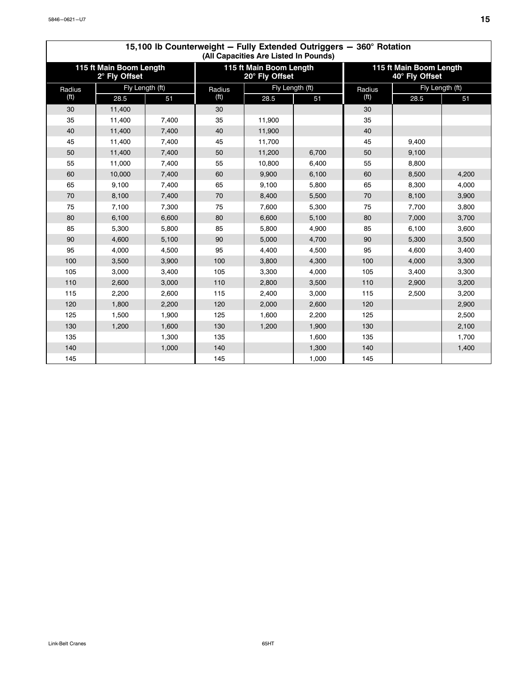<span id="page-18-0"></span>

|                   | 15,100 lb Counterweight - Fully Extended Outriggers - 360° Rotation<br>(All Capacities Are Listed In Pounds) |       |                   |                                           |       |                   |                                           |       |  |  |  |  |  |
|-------------------|--------------------------------------------------------------------------------------------------------------|-------|-------------------|-------------------------------------------|-------|-------------------|-------------------------------------------|-------|--|--|--|--|--|
|                   | 115 ft Main Boom Length<br>2° Fly Offset                                                                     |       |                   | 115 ft Main Boom Length<br>20° Fly Offset |       |                   | 115 ft Main Boom Length<br>40° Fly Offset |       |  |  |  |  |  |
| Radius            | Fly Length (ft)                                                                                              |       | Radius            | Fly Length (ft)                           |       | Radius            | Fly Length (ft)                           |       |  |  |  |  |  |
| (f <sup>t</sup> ) | 28.5                                                                                                         | 51    | (f <sup>t</sup> ) | 28.5                                      | 51    | (f <sup>t</sup> ) | 28.5                                      | 51    |  |  |  |  |  |
| 30                | 11,400                                                                                                       |       | 30                |                                           |       | 30                |                                           |       |  |  |  |  |  |
| 35                | 11,400                                                                                                       | 7,400 | 35                | 11,900                                    |       | 35                |                                           |       |  |  |  |  |  |
| 40                | 11,400                                                                                                       | 7,400 | 40                | 11,900                                    |       | 40                |                                           |       |  |  |  |  |  |
| 45                | 11.400                                                                                                       | 7,400 | 45                | 11,700                                    |       | 45                | 9.400                                     |       |  |  |  |  |  |
| 50                | 11,400                                                                                                       | 7,400 | 50                | 11,200                                    | 6,700 | 50                | 9,100                                     |       |  |  |  |  |  |
| 55                | 11.000                                                                                                       | 7,400 | 55                | 10.800                                    | 6,400 | 55                | 8,800                                     |       |  |  |  |  |  |
| 60                | 10,000                                                                                                       | 7,400 | 60                | 9,900                                     | 6,100 | 60                | 8,500                                     | 4,200 |  |  |  |  |  |
| 65                | 9.100                                                                                                        | 7,400 | 65                | 9.100                                     | 5,800 | 65                | 8.300                                     | 4,000 |  |  |  |  |  |
| 70                | 8,100                                                                                                        | 7,400 | 70                | 8,400                                     | 5,500 | 70                | 8,100                                     | 3,900 |  |  |  |  |  |
| 75                | 7,100                                                                                                        | 7,300 | 75                | 7,600                                     | 5,300 | 75                | 7,700                                     | 3,800 |  |  |  |  |  |
| 80                | 6,100                                                                                                        | 6,600 | 80                | 6,600                                     | 5,100 | 80                | 7,000                                     | 3,700 |  |  |  |  |  |
| 85                | 5,300                                                                                                        | 5,800 | 85                | 5,800                                     | 4,900 | 85                | 6,100                                     | 3,600 |  |  |  |  |  |
| 90                | 4,600                                                                                                        | 5,100 | 90                | 5,000                                     | 4,700 | 90                | 5,300                                     | 3,500 |  |  |  |  |  |
| 95                | 4.000                                                                                                        | 4,500 | 95                | 4.400                                     | 4,500 | 95                | 4.600                                     | 3,400 |  |  |  |  |  |
| 100               | 3,500                                                                                                        | 3,900 | 100               | 3,800                                     | 4,300 | 100               | 4,000                                     | 3,300 |  |  |  |  |  |
| 105               | 3.000                                                                                                        | 3,400 | 105               | 3,300                                     | 4,000 | 105               | 3,400                                     | 3,300 |  |  |  |  |  |
| 110               | 2,600                                                                                                        | 3,000 | 110               | 2,800                                     | 3,500 | 110               | 2,900                                     | 3,200 |  |  |  |  |  |
| 115               | 2,200                                                                                                        | 2,600 | 115               | 2,400                                     | 3,000 | 115               | 2,500                                     | 3,200 |  |  |  |  |  |
| 120               | 1,800                                                                                                        | 2,200 | 120               | 2,000                                     | 2,600 | 120               |                                           | 2,900 |  |  |  |  |  |
| 125               | 1,500                                                                                                        | 1,900 | 125               | 1,600                                     | 2,200 | 125               |                                           | 2,500 |  |  |  |  |  |
| 130               | 1,200                                                                                                        | 1,600 | 130               | 1,200                                     | 1,900 | 130               |                                           | 2,100 |  |  |  |  |  |
| 135               |                                                                                                              | 1,300 | 135               |                                           | 1,600 | 135               |                                           | 1,700 |  |  |  |  |  |
| 140               |                                                                                                              | 1,000 | 140               |                                           | 1,300 | 140               |                                           | 1,400 |  |  |  |  |  |
| 145               |                                                                                                              |       | 145               |                                           | 1,000 | 145               |                                           |       |  |  |  |  |  |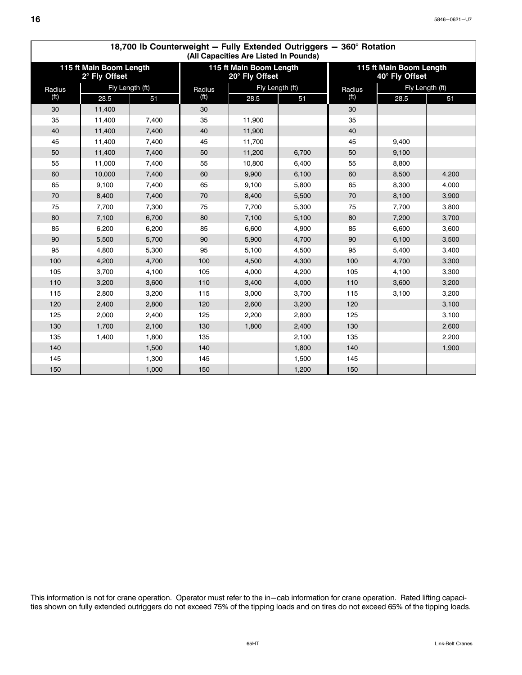<span id="page-19-0"></span>

| 18,700 lb Counterweight - Fully Extended Outriggers - 360° Rotation<br>(All Capacities Are Listed In Pounds) |                 |       |                                           |                 |       |                                           |                 |       |
|--------------------------------------------------------------------------------------------------------------|-----------------|-------|-------------------------------------------|-----------------|-------|-------------------------------------------|-----------------|-------|
| 115 ft Main Boom Length<br>2° Fly Offset                                                                     |                 |       | 115 ft Main Boom Length<br>20° Fly Offset |                 |       | 115 ft Main Boom Length<br>40° Fly Offset |                 |       |
| Radius                                                                                                       | Fly Length (ft) |       | Radius                                    | Fly Length (ft) |       | Radius                                    | Fly Length (ft) |       |
| (f <sup>t</sup> )                                                                                            | 28.5            | 51    | (f <sup>t</sup> )                         | 28.5            | 51    | (f <sup>t</sup> )                         | 28.5            | 51    |
| 30                                                                                                           | 11,400          |       | 30                                        |                 |       | 30                                        |                 |       |
| 35                                                                                                           | 11,400          | 7,400 | 35                                        | 11,900          |       | 35                                        |                 |       |
| 40                                                                                                           | 11,400          | 7,400 | 40                                        | 11,900          |       | 40                                        |                 |       |
| 45                                                                                                           | 11,400          | 7,400 | 45                                        | 11,700          |       | 45                                        | 9,400           |       |
| 50                                                                                                           | 11,400          | 7,400 | 50                                        | 11,200          | 6,700 | 50                                        | 9,100           |       |
| 55                                                                                                           | 11,000          | 7,400 | 55                                        | 10,800          | 6,400 | 55                                        | 8,800           |       |
| 60                                                                                                           | 10,000          | 7,400 | 60                                        | 9,900           | 6,100 | 60                                        | 8,500           | 4,200 |
| 65                                                                                                           | 9,100           | 7,400 | 65                                        | 9,100           | 5,800 | 65                                        | 8,300           | 4,000 |
| 70                                                                                                           | 8,400           | 7,400 | 70                                        | 8,400           | 5,500 | 70                                        | 8,100           | 3,900 |
| 75                                                                                                           | 7,700           | 7,300 | 75                                        | 7,700           | 5,300 | 75                                        | 7,700           | 3,800 |
| 80                                                                                                           | 7,100           | 6,700 | 80                                        | 7,100           | 5,100 | 80                                        | 7,200           | 3,700 |
| 85                                                                                                           | 6,200           | 6,200 | 85                                        | 6,600           | 4,900 | 85                                        | 6,600           | 3,600 |
| 90                                                                                                           | 5,500           | 5,700 | 90                                        | 5,900           | 4,700 | 90                                        | 6,100           | 3,500 |
| 95                                                                                                           | 4,800           | 5,300 | 95                                        | 5,100           | 4,500 | 95                                        | 5,400           | 3,400 |
| 100                                                                                                          | 4,200           | 4,700 | 100                                       | 4,500           | 4,300 | 100                                       | 4,700           | 3,300 |
| 105                                                                                                          | 3,700           | 4,100 | 105                                       | 4,000           | 4,200 | 105                                       | 4,100           | 3,300 |
| 110                                                                                                          | 3,200           | 3,600 | 110                                       | 3,400           | 4,000 | 110                                       | 3,600           | 3,200 |
| 115                                                                                                          | 2,800           | 3,200 | 115                                       | 3,000           | 3,700 | 115                                       | 3,100           | 3,200 |
| 120                                                                                                          | 2,400           | 2,800 | 120                                       | 2,600           | 3,200 | 120                                       |                 | 3,100 |
| 125                                                                                                          | 2,000           | 2,400 | 125                                       | 2,200           | 2,800 | 125                                       |                 | 3,100 |
| 130                                                                                                          | 1,700           | 2,100 | 130                                       | 1,800           | 2,400 | 130                                       |                 | 2,600 |
| 135                                                                                                          | 1,400           | 1,800 | 135                                       |                 | 2,100 | 135                                       |                 | 2,200 |
| 140                                                                                                          |                 | 1,500 | 140                                       |                 | 1,800 | 140                                       |                 | 1,900 |
| 145                                                                                                          |                 | 1,300 | 145                                       |                 | 1,500 | 145                                       |                 |       |
| 150                                                                                                          |                 | 1,000 | 150                                       |                 | 1,200 | 150                                       |                 |       |

This information is not for crane operation. Operator must refer to the in-cab information for crane operation. Rated lifting capacities shown on fully extended outriggers do not exceed 75% of the tipping loads and on tires do not exceed 65% of the tipping loads.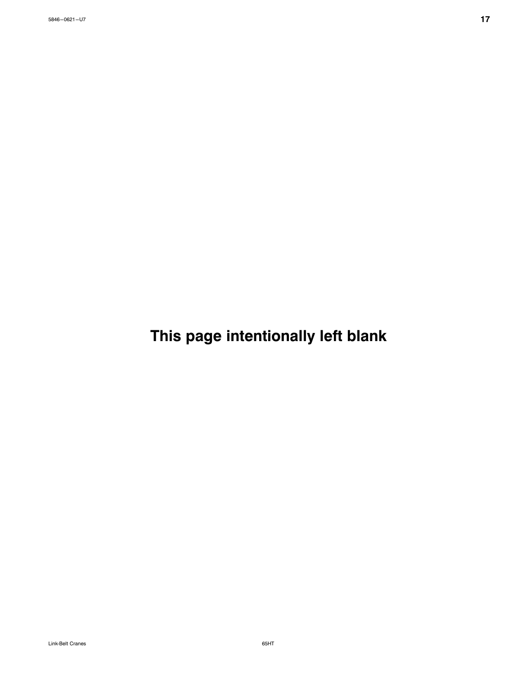**This page intentionally left blank**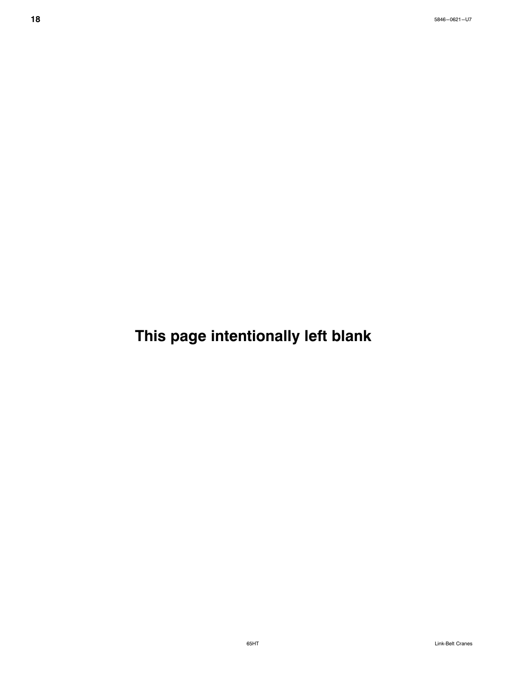**This page intentionally left blank**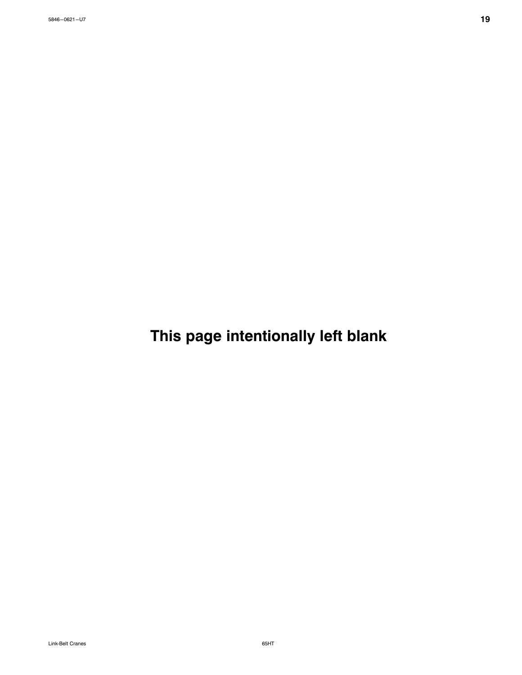**This page intentionally left blank**